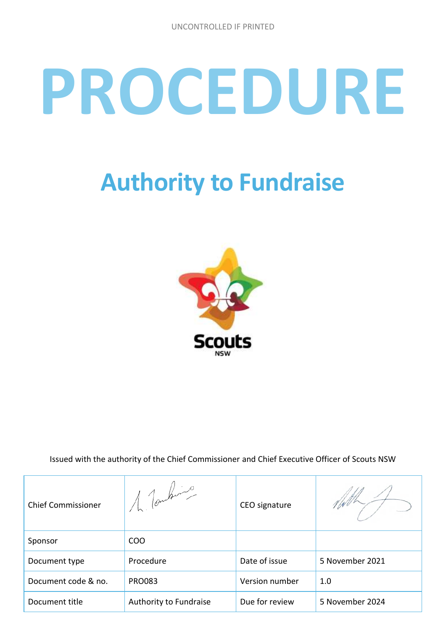# **PROCEDURE**

# **Authority to Fundraise**



Issued with the authority of the Chief Commissioner and Chief Executive Officer of Scouts NSW

| <b>Chief Commissioner</b> | $1$ forbing            | CEO signature  |                 |
|---------------------------|------------------------|----------------|-----------------|
| Sponsor                   | CO <sub>O</sub>        |                |                 |
| Document type             | Procedure              | Date of issue  | 5 November 2021 |
| Document code & no.       | <b>PRO083</b>          | Version number | 1.0             |
| Document title            | Authority to Fundraise | Due for review | 5 November 2024 |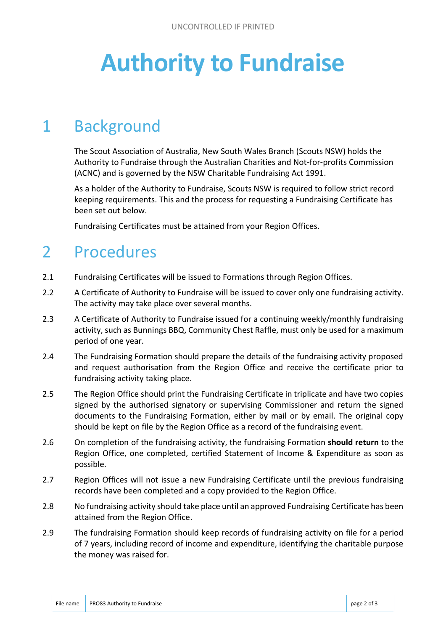# **Authority to Fundraise**

#### 1 Background

The Scout Association of Australia, New South Wales Branch (Scouts NSW) holds the Authority to Fundraise through the Australian Charities and Not-for-profits Commission (ACNC) and is governed by the NSW Charitable Fundraising Act 1991.

As a holder of the Authority to Fundraise, Scouts NSW is required to follow strict record keeping requirements. This and the process for requesting a Fundraising Certificate has been set out below.

Fundraising Certificates must be attained from your Region Offices.

#### 2 Procedures

- 2.1 Fundraising Certificates will be issued to Formations through Region Offices.
- 2.2 A Certificate of Authority to Fundraise will be issued to cover only one fundraising activity. The activity may take place over several months.
- 2.3 A Certificate of Authority to Fundraise issued for a continuing weekly/monthly fundraising activity, such as Bunnings BBQ, Community Chest Raffle, must only be used for a maximum period of one year.
- 2.4 The Fundraising Formation should prepare the details of the fundraising activity proposed and request authorisation from the Region Office and receive the certificate prior to fundraising activity taking place.
- 2.5 The Region Office should print the Fundraising Certificate in triplicate and have two copies signed by the authorised signatory or supervising Commissioner and return the signed documents to the Fundraising Formation, either by mail or by email. The original copy should be kept on file by the Region Office as a record of the fundraising event.
- 2.6 On completion of the fundraising activity, the fundraising Formation **should return** to the Region Office, one completed, certified Statement of Income & Expenditure as soon as possible.
- 2.7 Region Offices will not issue a new Fundraising Certificate until the previous fundraising records have been completed and a copy provided to the Region Office.
- 2.8 No fundraising activity should take place until an approved Fundraising Certificate has been attained from the Region Office.
- 2.9 The fundraising Formation should keep records of fundraising activity on file for a period of 7 years, including record of income and expenditure, identifying the charitable purpose the money was raised for.